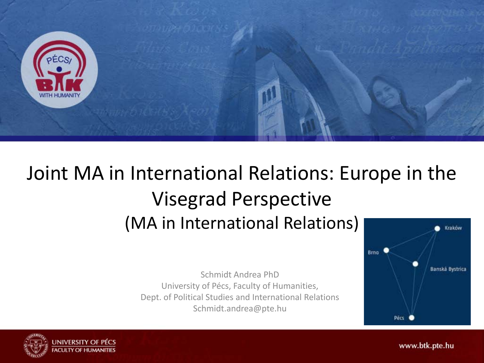

### Joint MA in International Relations: Europe in the Visegrad Perspective (MA in International Relations)

Schmidt Andrea PhD University of Pécs, Faculty of Humanities, Dept. of Political Studies and International Relations Schmidt.andrea@pte.hu



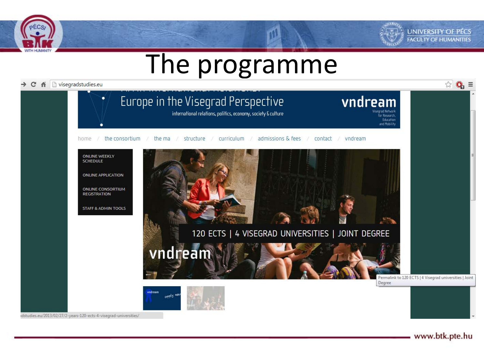



## The programme

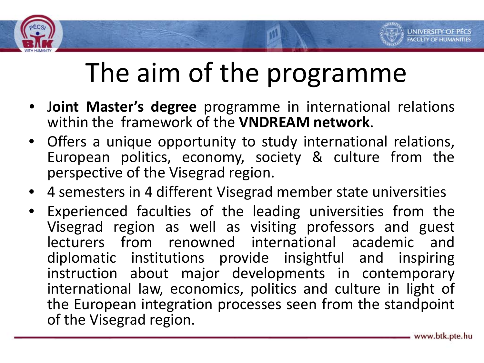



- <sup>J</sup>**oint Master's degree** programme in international relations within the framework of the **VNDREAM network**.
- Offers a unique opportunity to study international relations, European politics, economy, society & culture from the perspective of the Visegrad region.
- 4 semesters in 4 different Visegrad member state universities
- Experienced faculties of the leading universities from the Visegrad region as well as visiting professors and guest lecturers from renowned international academic and diplomatic institutions provide insightful and inspiring instruction about major developments in contemporary international law, economics, politics and culture in light of the European integration processes seen from the standpoint of the Visegrad region.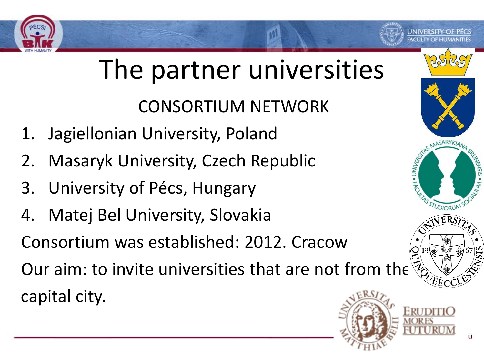

H · UNIVER

STUDIORUM

# The partner universities

CONSORTIUM NETWORK

- 1. Jagiellonian University, Poland
- 2. Masaryk University, Czech Republic
- 3. University of Pécs, Hungary
- 4. Matej Bel University, Slovakia

Consortium was established: 2012. Cracow

Our aim: to invite universities that are not from the capital city.

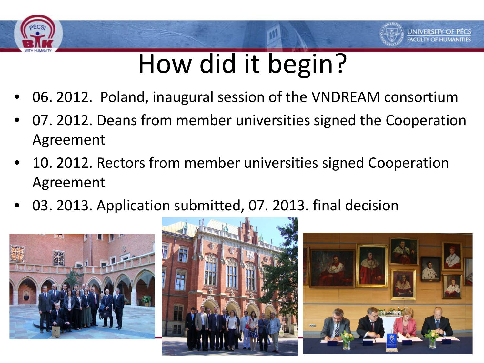



- 06. 2012. Poland, inaugural session of the VNDREAM consortium
- 07. 2012. Deans from member universities signed the Cooperation Agreement
- 10. 2012. Rectors from member universities signed Cooperation Agreement
- 03. 2013. Application submitted, 07. 2013. final decision





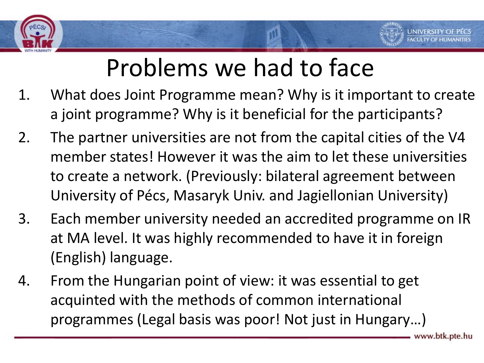

## Problems we had to face

- 1. What does Joint Programme mean? Why is it important to create a joint programme? Why is it beneficial for the participants?
- 2. The partner universities are not from the capital cities of the V4 member states! However it was the aim to let these universities to create a network. (Previously: bilateral agreement between University of Pécs, Masaryk Univ. and Jagiellonian University)
- 3. Each member university needed an accredited programme on IR at MA level. It was highly recommended to have it in foreign (English) language.
- 4. From the Hungarian point of view: it was essential to get acquinted with the methods of common international programmes (Legal basis was poor! Not just in Hungary…)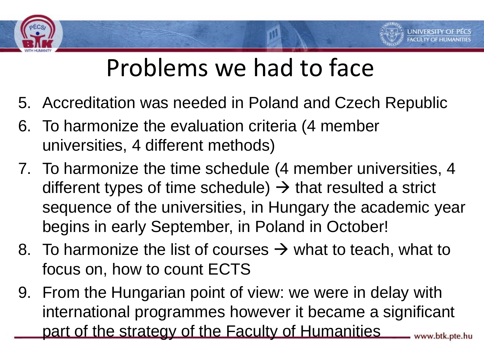### Problems we had to face

- 5. Accreditation was needed in Poland and Czech Republic
- 6. To harmonize the evaluation criteria (4 member universities, 4 different methods)
- 7. To harmonize the time schedule (4 member universities, 4 different types of time schedule)  $\rightarrow$  that resulted a strict sequence of the universities, in Hungary the academic year begins in early September, in Poland in October!
- 8. To harmonize the list of courses  $\rightarrow$  what to teach, what to focus on, how to count ECTS
- 9. From the Hungarian point of view: we were in delay with international programmes however it became a significant part of the strategy of the Faculty of Humanitieswww.btk.pte.hu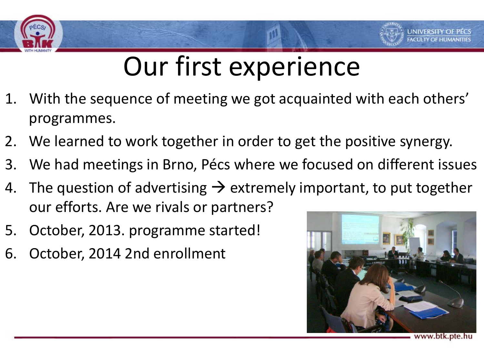

## Our first experience

- 1. With the sequence of meeting we got acquainted with each others' programmes.
- 2. We learned to work together in order to get the positive synergy.
- 3. We had meetings in Brno, Pécs where we focused on different issues
- 4. The question of advertising  $\rightarrow$  extremely important, to put together our efforts. Are we rivals or partners?
- 5. October, 2013. programme started!
- 6. October, 2014 2nd enrollment

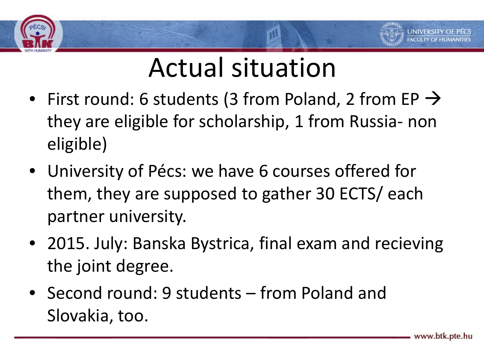



- First round: 6 students (3 from Poland, 2 from EP  $\rightarrow$ they are eligible for scholarship, 1 from Russia- non eligible)
- University of Pécs: we have 6 courses offered for them, they are supposed to gather 30 ECTS/ each partner university.
- 2015. July: Banska Bystrica, final exam and recieving the joint degree.
- Second round: 9 students from Poland and Slovakia, too.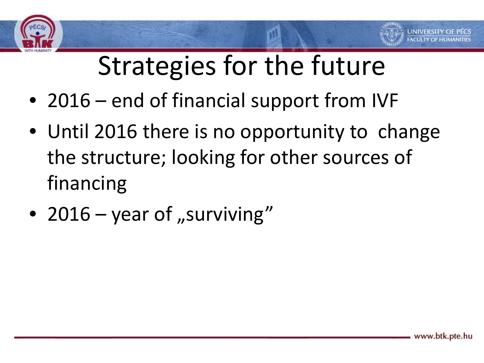



- 2016 end of financial support from IVF
- Until 2016 there is no opportunity to change the structure; looking for other sources of financing
- 2016 year of "surviving"